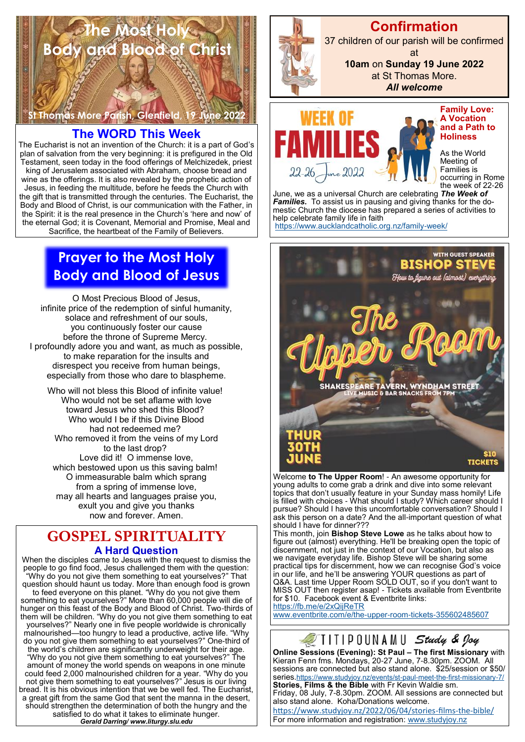# **The Most Holy Body and Blood of Christ**

**St Thomas More Parish, Glenfield, 19 June 2022** 

# **The WORD This Week**

The Eucharist is not an invention of the Church: it is a part of God's plan of salvation from the very beginning: it is prefigured in the Old Testament, seen today in the food offerings of Melchizedek, priest king of Jerusalem associated with Abraham, choose bread and wine as the offerings. It is also revealed by the prophetic action of Jesus, in feeding the multitude, before he feeds the Church with the gift that is transmitted through the centuries. The Eucharist, the Body and Blood of Christ, is our communication with the Father, in the Spirit: it is the real presence in the Church's 'here and now' of the eternal God; it is Covenant, Memorial and Promise, Meal and Sacrifice, the heartbeat of the Family of Believers.

# **Prayer to the Most Holy Body and Blood of Jesus**

O Most Precious Blood of Jesus, infinite price of the redemption of sinful humanity, solace and refreshment of our souls, you continuously foster our cause before the throne of Supreme Mercy. I profoundly adore you and want, as much as possible, to make reparation for the insults and disrespect you receive from human beings, especially from those who dare to blaspheme.

Who will not bless this Blood of infinite value! Who would not be set aflame with love toward Jesus who shed this Blood? Who would I be if this Divine Blood had not redeemed me? Who removed it from the veins of my Lord to the last drop? Love did it! O immense love, which bestowed upon us this saving balm! O immeasurable balm which sprang from a spring of immense love, may all hearts and languages praise you, exult you and give you thanks now and forever. Amen.

# **GOSPEL SPIRITUALITY A Hard Question**

When the disciples came to Jesus with the request to dismiss the people to go find food, Jesus challenged them with the question: "Why do you not give them something to eat yourselves?" That question should haunt us today. More than enough food is grown to feed everyone on this planet. "Why do you not give them something to eat yourselves?" More than 60,000 people will die of hunger on this feast of the Body and Blood of Christ. Two-thirds of them will be children. "Why do you not give them something to eat yourselves?" Nearly one in five people worldwide is chronically malnourished—too hungry to lead a productive, active life. "Why do you not give them something to eat yourselves?" One-third of the world's children are significantly underweight for their age. "Why do you not give them something to eat yourselves?" The amount of money the world spends on weapons in one minute could feed 2,000 malnourished children for a year. "Why do you not give them something to eat yourselves?" Jesus is our living bread. It is his obvious intention that we be well fed. The Eucharist, a great gift from the same God that sent the manna in the desert, should strengthen the determination of both the hungry and the satisfied to do what it takes to eliminate hunger. *Gerald Darring/ www.liturgy.slu.edu*



# **Confirmation**

37 children of our parish will be confirmed at

> **10am** on **Sunday 19 June 2022**  at St Thomas More.

*All welcome*



**Family Love: A Vocation and a Path to Holiness**

As the World Meeting of Families is occurring in Rome the week of 22-26

June, we as a universal Church are celebrating *The Week of Families.* To assist us in pausing and giving thanks for the domestic Church the diocese has prepared a series of activities to help celebrate family life in faith <https://www.aucklandcatholic.org.nz/family-week/>

WITH GUEST SPEAKER **BISHOP STEVE** How to figure out (almost) everything **YNDHAM STRE VERN** 

Welcome **to The Upper Room**! - An awesome opportunity for young adults to come grab a drink and dive into some relevant topics that don't usually feature in your Sunday mass homily! Life is filled with choices - What should I study? Which career should I pursue? Should I have this uncomfortable conversation? Should I ask this person on a date? And the all-important question of what should I have for dinner???

This month, join **Bishop Steve Lowe** as he talks about how to figure out (almost) everything. He'll be breaking open the topic of discernment, not just in the context of our Vocation, but also as we navigate everyday life. Bishop Steve will be sharing some practical tips for discernment, how we can recognise God's voice in our life, and he'll be answering YOUR questions as part of Q&A. Last time Upper Room SOLD OUT, so if you don't want to MISS OUT then register asap! - Tickets available from Eventbrite for \$10. Facebook event & Eventbrite links: <https://fb.me/e/2xQijReTR>

[www.eventbrite.com/e/the-upper-room-tickets-355602485607](http://www.eventbrite.com/e/the-upper-room-tickets-355602485607)



series.<https://www.studyjoy.nz/events/st-paul-meet-the-first-missionary-7/> **Stories, Films & the Bible** with Fr Kevin Waldie sm. Friday, 08 July, 7-8.30pm. ZOOM. All sessions are connected but also stand alone. Koha/Donations welcome.

[https://www.studyjoy.nz/2022/06/04/stories](https://www.studyjoy.nz/2022/06/04/stories-films-the-bible/)-films-the-bible/ For more information and registration: [www.studyjoy.nz](http://www.studyjoy.nz/)